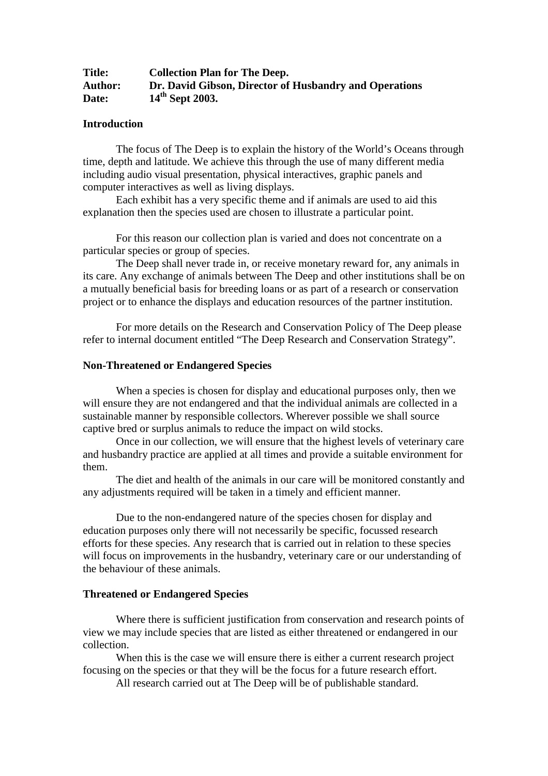| <b>Title:</b>  | <b>Collection Plan for The Deep.</b>                   |
|----------------|--------------------------------------------------------|
| <b>Author:</b> | Dr. David Gibson, Director of Husbandry and Operations |
| Date:          | $14th$ Sept 2003.                                      |

#### **Introduction**

The focus of The Deep is to explain the history of the World's Oceans through time, depth and latitude. We achieve this through the use of many different media including audio visual presentation, physical interactives, graphic panels and computer interactives as well as living displays.

Each exhibit has a very specific theme and if animals are used to aid this explanation then the species used are chosen to illustrate a particular point.

For this reason our collection plan is varied and does not concentrate on a particular species or group of species.

The Deep shall never trade in, or receive monetary reward for, any animals in its care. Any exchange of animals between The Deep and other institutions shall be on a mutually beneficial basis for breeding loans or as part of a research or conservation project or to enhance the displays and education resources of the partner institution.

For more details on the Research and Conservation Policy of The Deep please refer to internal document entitled "The Deep Research and Conservation Strategy".

#### **Non-Threatened or Endangered Species**

When a species is chosen for display and educational purposes only, then we will ensure they are not endangered and that the individual animals are collected in a sustainable manner by responsible collectors. Wherever possible we shall source captive bred or surplus animals to reduce the impact on wild stocks.

Once in our collection, we will ensure that the highest levels of veterinary care and husbandry practice are applied at all times and provide a suitable environment for them.

The diet and health of the animals in our care will be monitored constantly and any adjustments required will be taken in a timely and efficient manner.

Due to the non-endangered nature of the species chosen for display and education purposes only there will not necessarily be specific, focussed research efforts for these species. Any research that is carried out in relation to these species will focus on improvements in the husbandry, veterinary care or our understanding of the behaviour of these animals.

#### **Threatened or Endangered Species**

Where there is sufficient justification from conservation and research points of view we may include species that are listed as either threatened or endangered in our collection.

When this is the case we will ensure there is either a current research project focusing on the species or that they will be the focus for a future research effort.

All research carried out at The Deep will be of publishable standard.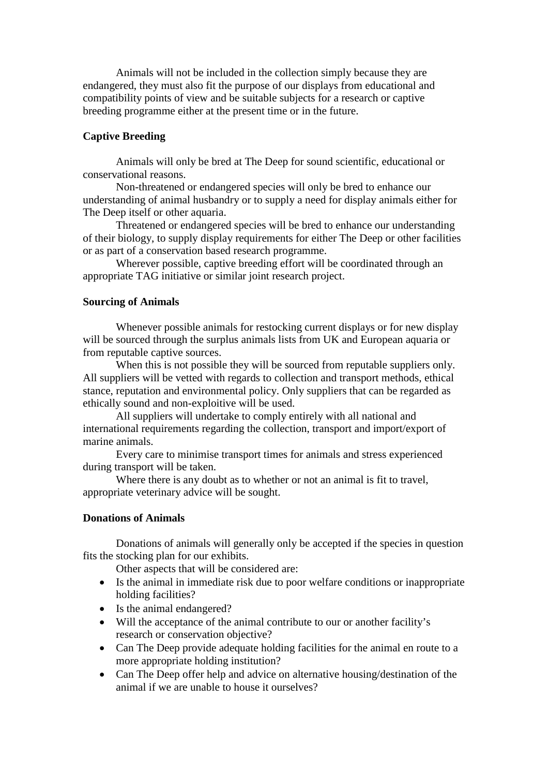Animals will not be included in the collection simply because they are endangered, they must also fit the purpose of our displays from educational and compatibility points of view and be suitable subjects for a research or captive breeding programme either at the present time or in the future.

# **Captive Breeding**

Animals will only be bred at The Deep for sound scientific, educational or conservational reasons.

Non-threatened or endangered species will only be bred to enhance our understanding of animal husbandry or to supply a need for display animals either for The Deep itself or other aquaria.

Threatened or endangered species will be bred to enhance our understanding of their biology, to supply display requirements for either The Deep or other facilities or as part of a conservation based research programme.

Wherever possible, captive breeding effort will be coordinated through an appropriate TAG initiative or similar joint research project.

# **Sourcing of Animals**

Whenever possible animals for restocking current displays or for new display will be sourced through the surplus animals lists from UK and European aquaria or from reputable captive sources.

When this is not possible they will be sourced from reputable suppliers only. All suppliers will be vetted with regards to collection and transport methods, ethical stance, reputation and environmental policy. Only suppliers that can be regarded as ethically sound and non-exploitive will be used.

All suppliers will undertake to comply entirely with all national and international requirements regarding the collection, transport and import/export of marine animals.

Every care to minimise transport times for animals and stress experienced during transport will be taken.

Where there is any doubt as to whether or not an animal is fit to travel. appropriate veterinary advice will be sought.

# **Donations of Animals**

Donations of animals will generally only be accepted if the species in question fits the stocking plan for our exhibits.

Other aspects that will be considered are:

- Is the animal in immediate risk due to poor welfare conditions or inappropriate holding facilities?
- Is the animal endangered?
- Will the acceptance of the animal contribute to our or another facility's research or conservation objective?
- Can The Deep provide adequate holding facilities for the animal en route to a more appropriate holding institution?
- Can The Deep offer help and advice on alternative housing/destination of the animal if we are unable to house it ourselves?